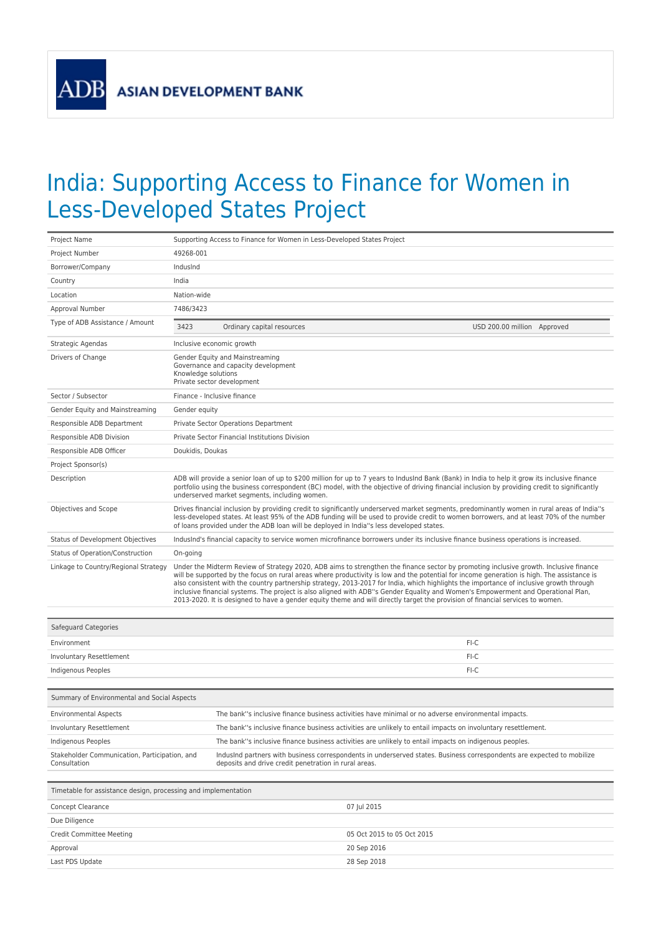**ADB** 

## India: Supporting Access to Finance for Women in Less-Developed States Project

| Project Name                         |                                                                                                                                                                                                                                                                                                                                                                                   | Supporting Access to Finance for Women in Less-Developed States Project |                                                                                                                                                                                                                                                                                                                                                                                                                                                                                                                                                                                                                                                                                                       |
|--------------------------------------|-----------------------------------------------------------------------------------------------------------------------------------------------------------------------------------------------------------------------------------------------------------------------------------------------------------------------------------------------------------------------------------|-------------------------------------------------------------------------|-------------------------------------------------------------------------------------------------------------------------------------------------------------------------------------------------------------------------------------------------------------------------------------------------------------------------------------------------------------------------------------------------------------------------------------------------------------------------------------------------------------------------------------------------------------------------------------------------------------------------------------------------------------------------------------------------------|
| Project Number                       | 49268-001                                                                                                                                                                                                                                                                                                                                                                         |                                                                         |                                                                                                                                                                                                                                                                                                                                                                                                                                                                                                                                                                                                                                                                                                       |
| Borrower/Company                     | IndusInd                                                                                                                                                                                                                                                                                                                                                                          |                                                                         |                                                                                                                                                                                                                                                                                                                                                                                                                                                                                                                                                                                                                                                                                                       |
| Country                              | India                                                                                                                                                                                                                                                                                                                                                                             |                                                                         |                                                                                                                                                                                                                                                                                                                                                                                                                                                                                                                                                                                                                                                                                                       |
| Location                             | Nation-wide                                                                                                                                                                                                                                                                                                                                                                       |                                                                         |                                                                                                                                                                                                                                                                                                                                                                                                                                                                                                                                                                                                                                                                                                       |
| Approval Number                      | 7486/3423                                                                                                                                                                                                                                                                                                                                                                         |                                                                         |                                                                                                                                                                                                                                                                                                                                                                                                                                                                                                                                                                                                                                                                                                       |
| Type of ADB Assistance / Amount      | 3423                                                                                                                                                                                                                                                                                                                                                                              | Ordinary capital resources                                              | USD 200.00 million Approved                                                                                                                                                                                                                                                                                                                                                                                                                                                                                                                                                                                                                                                                           |
| Strategic Agendas                    | Inclusive economic growth                                                                                                                                                                                                                                                                                                                                                         |                                                                         |                                                                                                                                                                                                                                                                                                                                                                                                                                                                                                                                                                                                                                                                                                       |
| Drivers of Change                    | Gender Equity and Mainstreaming<br>Governance and capacity development<br>Knowledge solutions<br>Private sector development                                                                                                                                                                                                                                                       |                                                                         |                                                                                                                                                                                                                                                                                                                                                                                                                                                                                                                                                                                                                                                                                                       |
| Sector / Subsector                   | Finance - Inclusive finance                                                                                                                                                                                                                                                                                                                                                       |                                                                         |                                                                                                                                                                                                                                                                                                                                                                                                                                                                                                                                                                                                                                                                                                       |
| Gender Equity and Mainstreaming      | Gender equity                                                                                                                                                                                                                                                                                                                                                                     |                                                                         |                                                                                                                                                                                                                                                                                                                                                                                                                                                                                                                                                                                                                                                                                                       |
| Responsible ADB Department           | <b>Private Sector Operations Department</b>                                                                                                                                                                                                                                                                                                                                       |                                                                         |                                                                                                                                                                                                                                                                                                                                                                                                                                                                                                                                                                                                                                                                                                       |
| Responsible ADB Division             | Private Sector Financial Institutions Division                                                                                                                                                                                                                                                                                                                                    |                                                                         |                                                                                                                                                                                                                                                                                                                                                                                                                                                                                                                                                                                                                                                                                                       |
| Responsible ADB Officer              | Doukidis, Doukas                                                                                                                                                                                                                                                                                                                                                                  |                                                                         |                                                                                                                                                                                                                                                                                                                                                                                                                                                                                                                                                                                                                                                                                                       |
| Project Sponsor(s)                   |                                                                                                                                                                                                                                                                                                                                                                                   |                                                                         |                                                                                                                                                                                                                                                                                                                                                                                                                                                                                                                                                                                                                                                                                                       |
| Description                          | ADB will provide a senior loan of up to \$200 million for up to 7 years to IndusInd Bank (Bank) in India to help it grow its inclusive finance<br>portfolio using the business correspondent (BC) model, with the objective of driving financial inclusion by providing credit to significantly<br>underserved market segments, including women.                                  |                                                                         |                                                                                                                                                                                                                                                                                                                                                                                                                                                                                                                                                                                                                                                                                                       |
| Objectives and Scope                 | Drives financial inclusion by providing credit to significantly underserved market segments, predominantly women in rural areas of India"s<br>less-developed states. At least 95% of the ADB funding will be used to provide credit to women borrowers, and at least 70% of the number<br>of loans provided under the ADB loan will be deployed in India"s less developed states. |                                                                         |                                                                                                                                                                                                                                                                                                                                                                                                                                                                                                                                                                                                                                                                                                       |
| Status of Development Objectives     |                                                                                                                                                                                                                                                                                                                                                                                   |                                                                         | IndusInd's financial capacity to service women microfinance borrowers under its inclusive finance business operations is increased.                                                                                                                                                                                                                                                                                                                                                                                                                                                                                                                                                                   |
| Status of Operation/Construction     | On-going                                                                                                                                                                                                                                                                                                                                                                          |                                                                         |                                                                                                                                                                                                                                                                                                                                                                                                                                                                                                                                                                                                                                                                                                       |
| Linkage to Country/Regional Strategy |                                                                                                                                                                                                                                                                                                                                                                                   |                                                                         | Under the Midterm Review of Strategy 2020, ADB aims to strengthen the finance sector by promoting inclusive growth. Inclusive finance<br>will be supported by the focus on rural areas where productivity is low and the potential for income generation is high. The assistance is<br>also consistent with the country partnership strategy, 2013-2017 for India, which highlights the importance of inclusive growth through<br>inclusive financial systems. The project is also aligned with ADB"s Gender Equality and Women's Empowerment and Operational Plan,<br>2013-2020. It is designed to have a gender equity theme and will directly target the provision of financial services to women. |
| Safeguard Categories                 |                                                                                                                                                                                                                                                                                                                                                                                   |                                                                         |                                                                                                                                                                                                                                                                                                                                                                                                                                                                                                                                                                                                                                                                                                       |
| Environmont                          |                                                                                                                                                                                                                                                                                                                                                                                   |                                                                         | E1C                                                                                                                                                                                                                                                                                                                                                                                                                                                                                                                                                                                                                                                                                                   |

| Environment                                 |                                                                                                              | FI-C |
|---------------------------------------------|--------------------------------------------------------------------------------------------------------------|------|
| Involuntary Resettlement                    |                                                                                                              | FI-C |
| Indigenous Peoples                          |                                                                                                              | FI-C |
|                                             |                                                                                                              |      |
| Summary of Environmental and Social Aspects |                                                                                                              |      |
| <b>Environmental Aspects</b>                | The bank"s inclusive finance business activities have minimal or no adverse environmental impacts.           |      |
| Involuntary Resettlement                    | The bank"s inclusive finance business activities are unlikely to entail impacts on involuntary resettlement. |      |
| Indianous Booples                           | The happle inclusive finance business astivities are unlikely to entail impacts on indigenous peoples.       |      |

| Indigenous Peoples                                            | The bank"s inclusive finance business activities are unlikely to entail impacts on indigenous peoples.                                                                          |
|---------------------------------------------------------------|---------------------------------------------------------------------------------------------------------------------------------------------------------------------------------|
| Stakeholder Communication. Participation, and<br>Consultation | IndusInd partners with business correspondents in underserved states. Business correspondents are expected to mobilize<br>deposits and drive credit penetration in rural areas. |
|                                                               |                                                                                                                                                                                 |

| Timetable for assistance design, processing and implementation |                            |  |
|----------------------------------------------------------------|----------------------------|--|
| Concept Clearance                                              | 07 Jul 2015                |  |
| Due Diligence                                                  |                            |  |
| <b>Credit Committee Meeting</b>                                | 05 Oct 2015 to 05 Oct 2015 |  |
| Approval                                                       | 20 Sep 2016                |  |
| Last PDS Update                                                | 28 Sep 2018                |  |
|                                                                |                            |  |